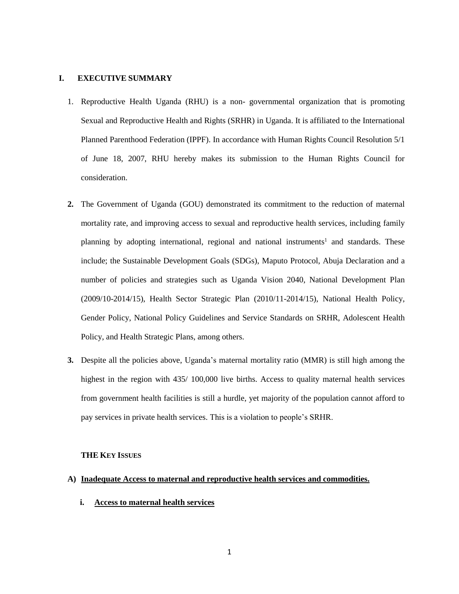## **I. EXECUTIVE SUMMARY**

- 1. Reproductive Health Uganda (RHU) is a non- governmental organization that is promoting Sexual and Reproductive Health and Rights (SRHR) in Uganda. It is affiliated to the International Planned Parenthood Federation (IPPF). In accordance with Human Rights Council Resolution 5/1 of June 18, 2007, RHU hereby makes its submission to the Human Rights Council for consideration.
- **2.** The Government of Uganda (GOU) demonstrated its commitment to the reduction of maternal mortality rate, and improving access to sexual and reproductive health services, including family planning by adopting international, regional and national instruments<sup>1</sup> and standards. These include; the Sustainable Development Goals (SDGs), Maputo Protocol, Abuja Declaration and a number of policies and strategies such as Uganda Vision 2040, National Development Plan (2009/10-2014/15), Health Sector Strategic Plan (2010/11-2014/15), National Health Policy, Gender Policy, National Policy Guidelines and Service Standards on SRHR, Adolescent Health Policy, and Health Strategic Plans, among others.
- **3.** Despite all the policies above, Uganda's maternal mortality ratio (MMR) is still high among the highest in the region with 435/ 100,000 live births. Access to quality maternal health services from government health facilities is still a hurdle, yet majority of the population cannot afford to pay services in private health services. This is a violation to people's SRHR.

### **THE KEY ISSUES**

## **A) Inadequate Access to maternal and reproductive health services and commodities.**

**i. Access to maternal health services**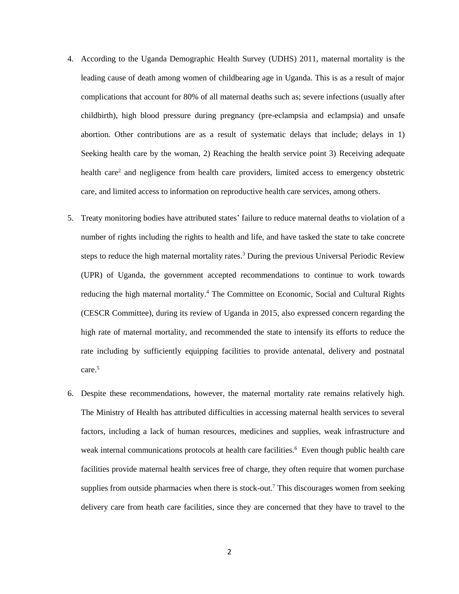- 4. According to the Uganda Demographic Health Survey (UDHS) 2011, maternal mortality is the leading cause of death among women of childbearing age in Uganda. This is as a result of major complications that account for 80% of all maternal deaths such as; severe infections (usually after childbirth), high blood pressure during pregnancy (pre-eclampsia and eclampsia) and unsafe abortion. Other contributions are as a result of systematic delays that include; delays in 1) Seeking health care by the woman, 2) Reaching the health service point 3) Receiving adequate health care<sup>2</sup> and negligence from health care providers, limited access to emergency obstetric care, and limited access to information on reproductive health care services, among others.
- 5. Treaty monitoring bodies have attributed states' failure to reduce maternal deaths to violation of a number of rights including the rights to health and life, and have tasked the state to take concrete steps to reduce the high maternal mortality rates.<sup>3</sup> During the previous Universal Periodic Review (UPR) of Uganda, the government accepted recommendations to continue to work towards reducing the high maternal mortality.<sup>4</sup> The Committee on Economic, Social and Cultural Rights (CESCR Committee), during its review of Uganda in 2015, also expressed concern regarding the high rate of maternal mortality, and recommended the state to intensify its efforts to reduce the rate including by sufficiently equipping facilities to provide antenatal, delivery and postnatal care.<sup>5</sup>
- 6. Despite these recommendations, however, the maternal mortality rate remains relatively high. The Ministry of Health has attributed difficulties in accessing maternal health services to several factors, including a lack of human resources, medicines and supplies, weak infrastructure and weak internal communications protocols at health care facilities.<sup>6</sup> Even though public health care facilities provide maternal health services free of charge, they often require that women purchase supplies from outside pharmacies when there is stock-out.<sup>7</sup> This discourages women from seeking delivery care from heath care facilities, since they are concerned that they have to travel to the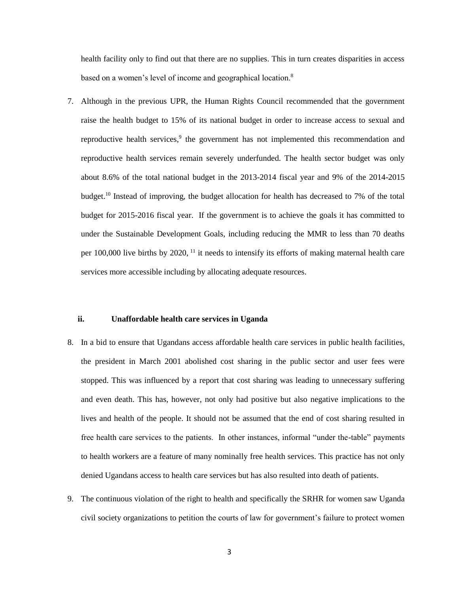health facility only to find out that there are no supplies. This in turn creates disparities in access based on a women's level of income and geographical location.<sup>8</sup>

7. Although in the previous UPR, the Human Rights Council recommended that the government raise the health budget to 15% of its national budget in order to increase access to sexual and reproductive health services,<sup>9</sup> the government has not implemented this recommendation and reproductive health services remain severely underfunded. The health sector budget was only about 8.6% of the total national budget in the 2013-2014 fiscal year and 9% of the 2014-2015 budget.<sup>10</sup> Instead of improving, the budget allocation for health has decreased to 7% of the total budget for 2015-2016 fiscal year. If the government is to achieve the goals it has committed to under the Sustainable Development Goals, including reducing the MMR to less than 70 deaths per 100,000 live births by 2020, <sup>11</sup> it needs to intensify its efforts of making maternal health care services more accessible including by allocating adequate resources.

### **ii. Unaffordable health care services in Uganda**

- 8. In a bid to ensure that Ugandans access affordable health care services in public health facilities, the president in March 2001 abolished cost sharing in the public sector and user fees were stopped. This was influenced by a report that cost sharing was leading to unnecessary suffering and even death. This has, however, not only had positive but also negative implications to the lives and health of the people. It should not be assumed that the end of cost sharing resulted in free health care services to the patients. In other instances, informal "under the-table" payments to health workers are a feature of many nominally free health services. This practice has not only denied Ugandans access to health care services but has also resulted into death of patients.
- 9. The continuous violation of the right to health and specifically the SRHR for women saw Uganda civil society organizations to petition the courts of law for government's failure to protect women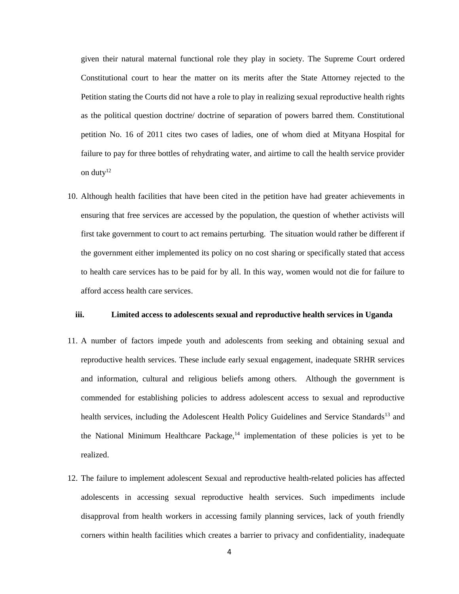given their natural maternal functional role they play in society. The Supreme Court ordered Constitutional court to hear the matter on its merits after the State Attorney rejected to the Petition stating the Courts did not have a role to play in realizing sexual reproductive health rights as the political question doctrine/ doctrine of separation of powers barred them. Constitutional petition No. 16 of 2011 cites two cases of ladies, one of whom died at Mityana Hospital for failure to pay for three bottles of rehydrating water, and airtime to call the health service provider on duty<sup>12</sup>

10. Although health facilities that have been cited in the petition have had greater achievements in ensuring that free services are accessed by the population, the question of whether activists will first take government to court to act remains perturbing. The situation would rather be different if the government either implemented its policy on no cost sharing or specifically stated that access to health care services has to be paid for by all. In this way, women would not die for failure to afford access health care services.

#### **iii. Limited access to adolescents sexual and reproductive health services in Uganda**

- 11. A number of factors impede youth and adolescents from seeking and obtaining sexual and reproductive health services. These include early sexual engagement, inadequate SRHR services and information, cultural and religious beliefs among others. Although the government is commended for establishing policies to address adolescent access to sexual and reproductive health services, including the Adolescent Health Policy Guidelines and Service Standards<sup>13</sup> and the National Minimum Healthcare Package, $14$  implementation of these policies is yet to be realized.
- 12. The failure to implement adolescent Sexual and reproductive health-related policies has affected adolescents in accessing sexual reproductive health services. Such impediments include disapproval from health workers in accessing family planning services, lack of youth friendly corners within health facilities which creates a barrier to privacy and confidentiality, inadequate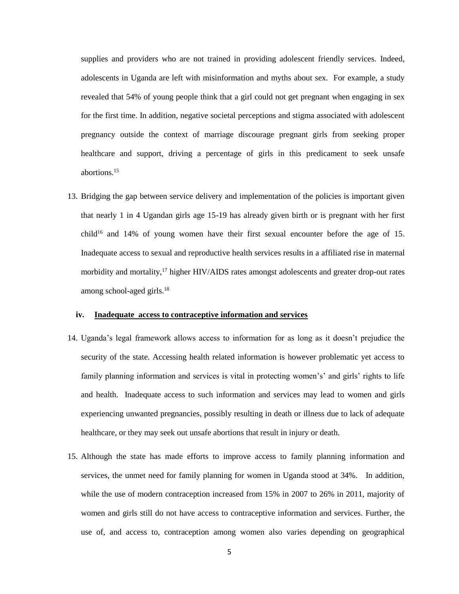supplies and providers who are not trained in providing adolescent friendly services. Indeed, adolescents in Uganda are left with misinformation and myths about sex. For example, a study revealed that 54% of young people think that a girl could not get pregnant when engaging in sex for the first time. In addition, negative societal perceptions and stigma associated with adolescent pregnancy outside the context of marriage discourage pregnant girls from seeking proper healthcare and support, driving a percentage of girls in this predicament to seek unsafe abortions.<sup>15</sup>

13. Bridging the gap between service delivery and implementation of the policies is important given that nearly 1 in 4 Ugandan girls age 15-19 has already given birth or is pregnant with her first  $child<sup>16</sup>$  and 14% of young women have their first sexual encounter before the age of 15. Inadequate access to sexual and reproductive health services results in a affiliated rise in maternal morbidity and mortality,<sup>17</sup> higher HIV/AIDS rates amongst adolescents and greater drop-out rates among school-aged girls.<sup>18</sup>

## **iv. Inadequate access to contraceptive information and services**

- 14. Uganda's legal framework allows access to information for as long as it doesn't prejudice the security of the state. Accessing health related information is however problematic yet access to family planning information and services is vital in protecting women's' and girls' rights to life and health. Inadequate access to such information and services may lead to women and girls experiencing unwanted pregnancies, possibly resulting in death or illness due to lack of adequate healthcare, or they may seek out unsafe abortions that result in injury or death.
- 15. Although the state has made efforts to improve access to family planning information and services, the unmet need for family planning for women in Uganda stood at 34%. In addition, while the use of modern contraception increased from 15% in 2007 to 26% in 2011, majority of women and girls still do not have access to contraceptive information and services. Further, the use of, and access to, contraception among women also varies depending on geographical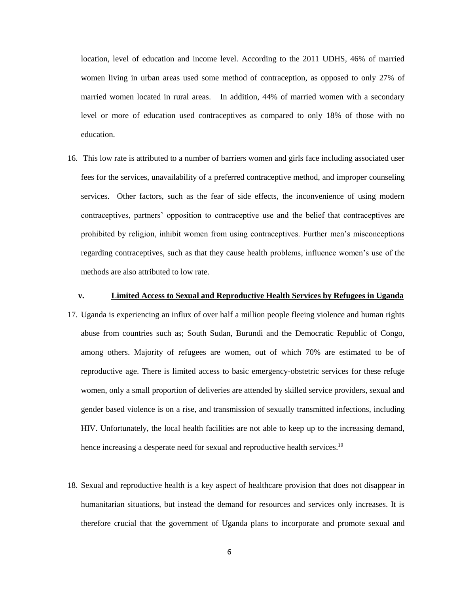location, level of education and income level. According to the 2011 UDHS, 46% of married women living in urban areas used some method of contraception, as opposed to only 27% of married women located in rural areas. In addition, 44% of married women with a secondary level or more of education used contraceptives as compared to only 18% of those with no education.

16. This low rate is attributed to a number of barriers women and girls face including associated user fees for the services, unavailability of a preferred contraceptive method, and improper counseling services. Other factors, such as the fear of side effects, the inconvenience of using modern contraceptives, partners' opposition to contraceptive use and the belief that contraceptives are prohibited by religion, inhibit women from using contraceptives. Further men's misconceptions regarding contraceptives, such as that they cause health problems, influence women's use of the methods are also attributed to low rate.

#### **v. Limited Access to Sexual and Reproductive Health Services by Refugees in Uganda**

- 17. Uganda is experiencing an influx of over half a million people fleeing violence and human rights abuse from countries such as; South Sudan, Burundi and the Democratic Republic of Congo, among others. Majority of refugees are women, out of which 70% are estimated to be of reproductive age. There is limited access to basic emergency-obstetric services for these refuge women, only a small proportion of deliveries are attended by skilled service providers, sexual and gender based violence is on a rise, and transmission of sexually transmitted infections, including HIV. Unfortunately, the local health facilities are not able to keep up to the increasing demand, hence increasing a desperate need for sexual and reproductive health services.<sup>19</sup>
- 18. Sexual and reproductive health is a key aspect of healthcare provision that does not disappear in humanitarian situations, but instead the demand for resources and services only increases. It is therefore crucial that the government of Uganda plans to incorporate and promote sexual and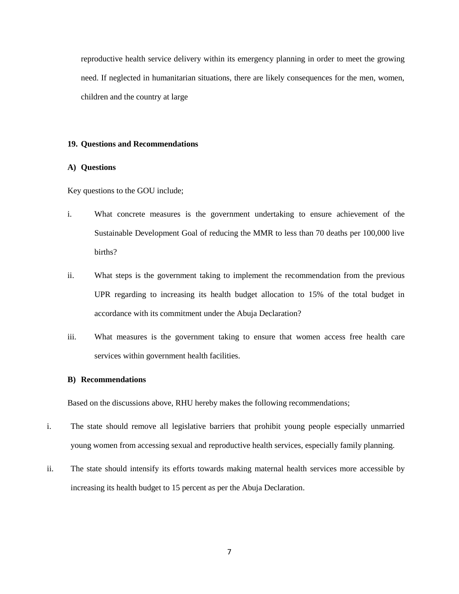reproductive health service delivery within its emergency planning in order to meet the growing need. If neglected in humanitarian situations, there are likely consequences for the men, women, children and the country at large

# **19. Questions and Recommendations**

# **A) Questions**

Key questions to the GOU include;

- i. What concrete measures is the government undertaking to ensure achievement of the Sustainable Development Goal of reducing the MMR to less than 70 deaths per 100,000 live births?
- ii. What steps is the government taking to implement the recommendation from the previous UPR regarding to increasing its health budget allocation to 15% of the total budget in accordance with its commitment under the Abuja Declaration?
- iii. What measures is the government taking to ensure that women access free health care services within government health facilities.

## **B) Recommendations**

Based on the discussions above, RHU hereby makes the following recommendations;

- i. The state should remove all legislative barriers that prohibit young people especially unmarried young women from accessing sexual and reproductive health services, especially family planning.
- ii. The state should intensify its efforts towards making maternal health services more accessible by increasing its health budget to 15 percent as per the Abuja Declaration.